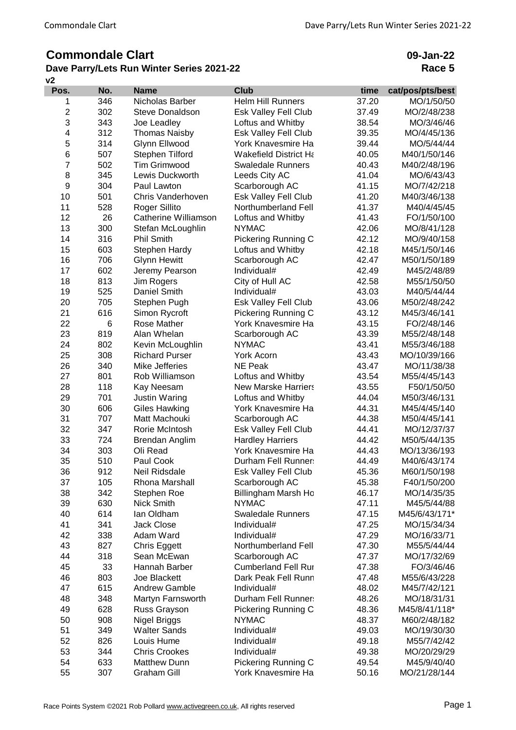# **Commondale Clart**

## **v2 Dave Parry/Lets Run Winter Series 2021-22**

**09-Jan-22 Race 5**

| 346<br><b>Helm Hill Runners</b><br>37.20<br>MO/1/50/50<br>Nicholas Barber<br>1<br>$\mathbf 2$<br>302<br>Esk Valley Fell Club<br><b>Steve Donaldson</b><br>37.49<br>MO/2/48/238<br>3<br>343<br>Loftus and Whitby<br>38.54<br>MO/3/46/46<br>Joe Leadley<br>4<br>312<br>Esk Valley Fell Club<br><b>Thomas Naisby</b><br>39.35<br>MO/4/45/136<br>5<br>314<br>York Knavesmire Ha<br>Glynn Ellwood<br>39.44<br>MO/5/44/44<br>6<br>507<br>Stephen Tilford<br><b>Wakefield District Ha</b><br>40.05<br>M40/1/50/146<br>$\overline{7}$<br>502<br><b>Tim Grimwood</b><br><b>Swaledale Runners</b><br>40.43<br>M40/2/48/196<br>8<br>345<br>Lewis Duckworth<br>Leeds City AC<br>41.04<br>MO/6/43/43<br>9<br>304<br>Scarborough AC<br>41.15<br>MO/7/42/218<br>Paul Lawton<br>10<br>501<br>Esk Valley Fell Club<br>Chris Vanderhoven<br>41.20<br>M40/3/46/138<br>11<br>528<br>Roger Sillito<br>Northumberland Fell<br>41.37<br>M40/4/45/45<br>12<br>26<br>Catherine Williamson<br>Loftus and Whitby<br>41.43<br>FO/1/50/100<br>13<br>300<br>Stefan McLoughlin<br><b>NYMAC</b><br>42.06<br>MO/8/41/128<br>14<br>316<br><b>Phil Smith</b><br>Pickering Running C<br>42.12<br>MO/9/40/158<br>15<br>603<br>Stephen Hardy<br>Loftus and Whitby<br>42.18<br>M45/1/50/146<br>16<br>706<br><b>Glynn Hewitt</b><br>Scarborough AC<br>42.47<br>M50/1/50/189<br>17<br>602<br>Jeremy Pearson<br>Individual#<br>42.49<br>M45/2/48/89<br>18<br>813<br>Jim Rogers<br>City of Hull AC<br>42.58<br>M55/1/50/50<br>19<br>525<br>Daniel Smith<br>Individual#<br>43.03<br>M40/5/44/44<br>20<br>705<br>Stephen Pugh<br>Esk Valley Fell Club<br>43.06<br>M50/2/48/242<br>21<br>616<br>Pickering Running C<br>43.12<br>Simon Rycroft<br>M45/3/46/141<br>22<br>6<br>Rose Mather<br>York Knavesmire Ha<br>43.15<br>FO/2/48/146<br>23<br>819<br>Alan Whelan<br>43.39<br>M55/2/48/148<br>Scarborough AC<br>24<br>802<br>Kevin McLoughlin<br><b>NYMAC</b><br>43.41<br>M55/3/46/188<br>25<br>308<br><b>Richard Purser</b><br>York Acorn<br>43.43<br>MO/10/39/166<br>26<br>340<br>Mike Jefferies<br><b>NE Peak</b><br>43.47<br>MO/11/38/38<br>27<br>801<br>Rob Williamson<br>Loftus and Whitby<br>43.54<br>M55/4/45/143<br>28<br><b>New Marske Harriers</b><br>118<br>Kay Neesam<br>43.55<br>F50/1/50/50<br>29<br>701<br>Justin Waring<br>Loftus and Whitby<br>44.04<br>M50/3/46/131<br>30<br>606<br><b>Giles Hawking</b><br>York Knavesmire Ha<br>44.31<br>M45/4/45/140<br>31<br>707<br>Matt Machouki<br>Scarborough AC<br>44.38<br>M50/4/45/141<br>32<br>347<br>Rorie McIntosh<br>Esk Valley Fell Club<br>44.41<br>MO/12/37/37<br>33<br>724<br><b>Hardley Harriers</b><br>Brendan Anglim<br>44.42<br>M50/5/44/135<br>34<br>York Knavesmire Ha<br>303<br>Oli Read<br>44.43<br>MO/13/36/193<br>35<br>510<br>Paul Cook<br>Durham Fell Runner:<br>44.49<br>M40/6/43/174<br>36<br>912<br>45.36<br>Neil Ridsdale<br>Esk Valley Fell Club<br>M60/1/50/198<br>37<br>105<br>F40/1/50/200<br>Rhona Marshall<br>Scarborough AC<br>45.38<br>38<br>342<br>Billingham Marsh Ho<br>Stephen Roe<br>46.17<br>MO/14/35/35<br>39<br>630<br>Nick Smith<br><b>NYMAC</b><br>47.11<br>M45/5/44/88<br>40<br>614<br>lan Oldham<br><b>Swaledale Runners</b><br>47.15<br>M45/6/43/171*<br>41<br>Jack Close<br>341<br>Individual#<br>47.25<br>MO/15/34/34<br>42<br>338<br>Adam Ward<br>Individual#<br>47.29<br>MO/16/33/71<br>43<br>827<br><b>Chris Eggett</b><br>Northumberland Fell<br>47.30<br>M55/5/44/44<br>44<br>318<br>Sean McEwan<br>Scarborough AC<br>47.37<br>MO/17/32/69<br>45<br>33<br>Hannah Barber<br><b>Cumberland Fell Rur</b><br>FO/3/46/46<br>47.38<br>46<br>803<br>Dark Peak Fell Runn<br>Joe Blackett<br>M55/6/43/228<br>47.48<br>47<br>615<br><b>Andrew Gamble</b><br>Individual#<br>48.02<br>M45/7/42/121<br>48<br>348<br>Martyn Farnsworth<br>Durham Fell Runner:<br>MO/18/31/31<br>48.26<br>628<br>49<br>Russ Grayson<br>Pickering Running C<br>M45/8/41/118*<br>48.36<br>50<br>908<br>Nigel Briggs<br><b>NYMAC</b><br>48.37<br>M60/2/48/182<br>51<br>349<br><b>Walter Sands</b><br>Individual#<br>49.03<br>MO/19/30/30<br>52<br>826<br>Individual#<br>Louis Hume<br>49.18<br>M55/7/42/42<br>53<br><b>Chris Crookes</b><br>344<br>Individual#<br>MO/20/29/29<br>49.38<br>54<br>633<br><b>Matthew Dunn</b><br>Pickering Running C<br>M45/9/40/40<br>49.54 | Pos. | No. | <b>Name</b>        | <b>Club</b>        | time  | cat/pos/pts/best |
|------------------------------------------------------------------------------------------------------------------------------------------------------------------------------------------------------------------------------------------------------------------------------------------------------------------------------------------------------------------------------------------------------------------------------------------------------------------------------------------------------------------------------------------------------------------------------------------------------------------------------------------------------------------------------------------------------------------------------------------------------------------------------------------------------------------------------------------------------------------------------------------------------------------------------------------------------------------------------------------------------------------------------------------------------------------------------------------------------------------------------------------------------------------------------------------------------------------------------------------------------------------------------------------------------------------------------------------------------------------------------------------------------------------------------------------------------------------------------------------------------------------------------------------------------------------------------------------------------------------------------------------------------------------------------------------------------------------------------------------------------------------------------------------------------------------------------------------------------------------------------------------------------------------------------------------------------------------------------------------------------------------------------------------------------------------------------------------------------------------------------------------------------------------------------------------------------------------------------------------------------------------------------------------------------------------------------------------------------------------------------------------------------------------------------------------------------------------------------------------------------------------------------------------------------------------------------------------------------------------------------------------------------------------------------------------------------------------------------------------------------------------------------------------------------------------------------------------------------------------------------------------------------------------------------------------------------------------------------------------------------------------------------------------------------------------------------------------------------------------------------------------------------------------------------------------------------------------------------------------------------------------------------------------------------------------------------------------------------------------------------------------------------------------------------------------------------------------------------------------------------------------------------------------------------------------------------------------------------------------------------------------------------------------------------------------------------------------------------------------------------------------------------------------------------------------------------------------------------------------------------------------------------------------------------------------------------------------------------------------------------------------------------------------------------------------------------------------------------------------------------------------------------------------------------------------------------------------------------------------------------------------------------------------------------------|------|-----|--------------------|--------------------|-------|------------------|
|                                                                                                                                                                                                                                                                                                                                                                                                                                                                                                                                                                                                                                                                                                                                                                                                                                                                                                                                                                                                                                                                                                                                                                                                                                                                                                                                                                                                                                                                                                                                                                                                                                                                                                                                                                                                                                                                                                                                                                                                                                                                                                                                                                                                                                                                                                                                                                                                                                                                                                                                                                                                                                                                                                                                                                                                                                                                                                                                                                                                                                                                                                                                                                                                                                                                                                                                                                                                                                                                                                                                                                                                                                                                                                                                                                                                                                                                                                                                                                                                                                                                                                                                                                                                                                                                                                            |      |     |                    |                    |       |                  |
|                                                                                                                                                                                                                                                                                                                                                                                                                                                                                                                                                                                                                                                                                                                                                                                                                                                                                                                                                                                                                                                                                                                                                                                                                                                                                                                                                                                                                                                                                                                                                                                                                                                                                                                                                                                                                                                                                                                                                                                                                                                                                                                                                                                                                                                                                                                                                                                                                                                                                                                                                                                                                                                                                                                                                                                                                                                                                                                                                                                                                                                                                                                                                                                                                                                                                                                                                                                                                                                                                                                                                                                                                                                                                                                                                                                                                                                                                                                                                                                                                                                                                                                                                                                                                                                                                                            |      |     |                    |                    |       |                  |
|                                                                                                                                                                                                                                                                                                                                                                                                                                                                                                                                                                                                                                                                                                                                                                                                                                                                                                                                                                                                                                                                                                                                                                                                                                                                                                                                                                                                                                                                                                                                                                                                                                                                                                                                                                                                                                                                                                                                                                                                                                                                                                                                                                                                                                                                                                                                                                                                                                                                                                                                                                                                                                                                                                                                                                                                                                                                                                                                                                                                                                                                                                                                                                                                                                                                                                                                                                                                                                                                                                                                                                                                                                                                                                                                                                                                                                                                                                                                                                                                                                                                                                                                                                                                                                                                                                            |      |     |                    |                    |       |                  |
|                                                                                                                                                                                                                                                                                                                                                                                                                                                                                                                                                                                                                                                                                                                                                                                                                                                                                                                                                                                                                                                                                                                                                                                                                                                                                                                                                                                                                                                                                                                                                                                                                                                                                                                                                                                                                                                                                                                                                                                                                                                                                                                                                                                                                                                                                                                                                                                                                                                                                                                                                                                                                                                                                                                                                                                                                                                                                                                                                                                                                                                                                                                                                                                                                                                                                                                                                                                                                                                                                                                                                                                                                                                                                                                                                                                                                                                                                                                                                                                                                                                                                                                                                                                                                                                                                                            |      |     |                    |                    |       |                  |
|                                                                                                                                                                                                                                                                                                                                                                                                                                                                                                                                                                                                                                                                                                                                                                                                                                                                                                                                                                                                                                                                                                                                                                                                                                                                                                                                                                                                                                                                                                                                                                                                                                                                                                                                                                                                                                                                                                                                                                                                                                                                                                                                                                                                                                                                                                                                                                                                                                                                                                                                                                                                                                                                                                                                                                                                                                                                                                                                                                                                                                                                                                                                                                                                                                                                                                                                                                                                                                                                                                                                                                                                                                                                                                                                                                                                                                                                                                                                                                                                                                                                                                                                                                                                                                                                                                            |      |     |                    |                    |       |                  |
|                                                                                                                                                                                                                                                                                                                                                                                                                                                                                                                                                                                                                                                                                                                                                                                                                                                                                                                                                                                                                                                                                                                                                                                                                                                                                                                                                                                                                                                                                                                                                                                                                                                                                                                                                                                                                                                                                                                                                                                                                                                                                                                                                                                                                                                                                                                                                                                                                                                                                                                                                                                                                                                                                                                                                                                                                                                                                                                                                                                                                                                                                                                                                                                                                                                                                                                                                                                                                                                                                                                                                                                                                                                                                                                                                                                                                                                                                                                                                                                                                                                                                                                                                                                                                                                                                                            |      |     |                    |                    |       |                  |
|                                                                                                                                                                                                                                                                                                                                                                                                                                                                                                                                                                                                                                                                                                                                                                                                                                                                                                                                                                                                                                                                                                                                                                                                                                                                                                                                                                                                                                                                                                                                                                                                                                                                                                                                                                                                                                                                                                                                                                                                                                                                                                                                                                                                                                                                                                                                                                                                                                                                                                                                                                                                                                                                                                                                                                                                                                                                                                                                                                                                                                                                                                                                                                                                                                                                                                                                                                                                                                                                                                                                                                                                                                                                                                                                                                                                                                                                                                                                                                                                                                                                                                                                                                                                                                                                                                            |      |     |                    |                    |       |                  |
|                                                                                                                                                                                                                                                                                                                                                                                                                                                                                                                                                                                                                                                                                                                                                                                                                                                                                                                                                                                                                                                                                                                                                                                                                                                                                                                                                                                                                                                                                                                                                                                                                                                                                                                                                                                                                                                                                                                                                                                                                                                                                                                                                                                                                                                                                                                                                                                                                                                                                                                                                                                                                                                                                                                                                                                                                                                                                                                                                                                                                                                                                                                                                                                                                                                                                                                                                                                                                                                                                                                                                                                                                                                                                                                                                                                                                                                                                                                                                                                                                                                                                                                                                                                                                                                                                                            |      |     |                    |                    |       |                  |
|                                                                                                                                                                                                                                                                                                                                                                                                                                                                                                                                                                                                                                                                                                                                                                                                                                                                                                                                                                                                                                                                                                                                                                                                                                                                                                                                                                                                                                                                                                                                                                                                                                                                                                                                                                                                                                                                                                                                                                                                                                                                                                                                                                                                                                                                                                                                                                                                                                                                                                                                                                                                                                                                                                                                                                                                                                                                                                                                                                                                                                                                                                                                                                                                                                                                                                                                                                                                                                                                                                                                                                                                                                                                                                                                                                                                                                                                                                                                                                                                                                                                                                                                                                                                                                                                                                            |      |     |                    |                    |       |                  |
|                                                                                                                                                                                                                                                                                                                                                                                                                                                                                                                                                                                                                                                                                                                                                                                                                                                                                                                                                                                                                                                                                                                                                                                                                                                                                                                                                                                                                                                                                                                                                                                                                                                                                                                                                                                                                                                                                                                                                                                                                                                                                                                                                                                                                                                                                                                                                                                                                                                                                                                                                                                                                                                                                                                                                                                                                                                                                                                                                                                                                                                                                                                                                                                                                                                                                                                                                                                                                                                                                                                                                                                                                                                                                                                                                                                                                                                                                                                                                                                                                                                                                                                                                                                                                                                                                                            |      |     |                    |                    |       |                  |
|                                                                                                                                                                                                                                                                                                                                                                                                                                                                                                                                                                                                                                                                                                                                                                                                                                                                                                                                                                                                                                                                                                                                                                                                                                                                                                                                                                                                                                                                                                                                                                                                                                                                                                                                                                                                                                                                                                                                                                                                                                                                                                                                                                                                                                                                                                                                                                                                                                                                                                                                                                                                                                                                                                                                                                                                                                                                                                                                                                                                                                                                                                                                                                                                                                                                                                                                                                                                                                                                                                                                                                                                                                                                                                                                                                                                                                                                                                                                                                                                                                                                                                                                                                                                                                                                                                            |      |     |                    |                    |       |                  |
|                                                                                                                                                                                                                                                                                                                                                                                                                                                                                                                                                                                                                                                                                                                                                                                                                                                                                                                                                                                                                                                                                                                                                                                                                                                                                                                                                                                                                                                                                                                                                                                                                                                                                                                                                                                                                                                                                                                                                                                                                                                                                                                                                                                                                                                                                                                                                                                                                                                                                                                                                                                                                                                                                                                                                                                                                                                                                                                                                                                                                                                                                                                                                                                                                                                                                                                                                                                                                                                                                                                                                                                                                                                                                                                                                                                                                                                                                                                                                                                                                                                                                                                                                                                                                                                                                                            |      |     |                    |                    |       |                  |
|                                                                                                                                                                                                                                                                                                                                                                                                                                                                                                                                                                                                                                                                                                                                                                                                                                                                                                                                                                                                                                                                                                                                                                                                                                                                                                                                                                                                                                                                                                                                                                                                                                                                                                                                                                                                                                                                                                                                                                                                                                                                                                                                                                                                                                                                                                                                                                                                                                                                                                                                                                                                                                                                                                                                                                                                                                                                                                                                                                                                                                                                                                                                                                                                                                                                                                                                                                                                                                                                                                                                                                                                                                                                                                                                                                                                                                                                                                                                                                                                                                                                                                                                                                                                                                                                                                            |      |     |                    |                    |       |                  |
|                                                                                                                                                                                                                                                                                                                                                                                                                                                                                                                                                                                                                                                                                                                                                                                                                                                                                                                                                                                                                                                                                                                                                                                                                                                                                                                                                                                                                                                                                                                                                                                                                                                                                                                                                                                                                                                                                                                                                                                                                                                                                                                                                                                                                                                                                                                                                                                                                                                                                                                                                                                                                                                                                                                                                                                                                                                                                                                                                                                                                                                                                                                                                                                                                                                                                                                                                                                                                                                                                                                                                                                                                                                                                                                                                                                                                                                                                                                                                                                                                                                                                                                                                                                                                                                                                                            |      |     |                    |                    |       |                  |
|                                                                                                                                                                                                                                                                                                                                                                                                                                                                                                                                                                                                                                                                                                                                                                                                                                                                                                                                                                                                                                                                                                                                                                                                                                                                                                                                                                                                                                                                                                                                                                                                                                                                                                                                                                                                                                                                                                                                                                                                                                                                                                                                                                                                                                                                                                                                                                                                                                                                                                                                                                                                                                                                                                                                                                                                                                                                                                                                                                                                                                                                                                                                                                                                                                                                                                                                                                                                                                                                                                                                                                                                                                                                                                                                                                                                                                                                                                                                                                                                                                                                                                                                                                                                                                                                                                            |      |     |                    |                    |       |                  |
|                                                                                                                                                                                                                                                                                                                                                                                                                                                                                                                                                                                                                                                                                                                                                                                                                                                                                                                                                                                                                                                                                                                                                                                                                                                                                                                                                                                                                                                                                                                                                                                                                                                                                                                                                                                                                                                                                                                                                                                                                                                                                                                                                                                                                                                                                                                                                                                                                                                                                                                                                                                                                                                                                                                                                                                                                                                                                                                                                                                                                                                                                                                                                                                                                                                                                                                                                                                                                                                                                                                                                                                                                                                                                                                                                                                                                                                                                                                                                                                                                                                                                                                                                                                                                                                                                                            |      |     |                    |                    |       |                  |
|                                                                                                                                                                                                                                                                                                                                                                                                                                                                                                                                                                                                                                                                                                                                                                                                                                                                                                                                                                                                                                                                                                                                                                                                                                                                                                                                                                                                                                                                                                                                                                                                                                                                                                                                                                                                                                                                                                                                                                                                                                                                                                                                                                                                                                                                                                                                                                                                                                                                                                                                                                                                                                                                                                                                                                                                                                                                                                                                                                                                                                                                                                                                                                                                                                                                                                                                                                                                                                                                                                                                                                                                                                                                                                                                                                                                                                                                                                                                                                                                                                                                                                                                                                                                                                                                                                            |      |     |                    |                    |       |                  |
|                                                                                                                                                                                                                                                                                                                                                                                                                                                                                                                                                                                                                                                                                                                                                                                                                                                                                                                                                                                                                                                                                                                                                                                                                                                                                                                                                                                                                                                                                                                                                                                                                                                                                                                                                                                                                                                                                                                                                                                                                                                                                                                                                                                                                                                                                                                                                                                                                                                                                                                                                                                                                                                                                                                                                                                                                                                                                                                                                                                                                                                                                                                                                                                                                                                                                                                                                                                                                                                                                                                                                                                                                                                                                                                                                                                                                                                                                                                                                                                                                                                                                                                                                                                                                                                                                                            |      |     |                    |                    |       |                  |
|                                                                                                                                                                                                                                                                                                                                                                                                                                                                                                                                                                                                                                                                                                                                                                                                                                                                                                                                                                                                                                                                                                                                                                                                                                                                                                                                                                                                                                                                                                                                                                                                                                                                                                                                                                                                                                                                                                                                                                                                                                                                                                                                                                                                                                                                                                                                                                                                                                                                                                                                                                                                                                                                                                                                                                                                                                                                                                                                                                                                                                                                                                                                                                                                                                                                                                                                                                                                                                                                                                                                                                                                                                                                                                                                                                                                                                                                                                                                                                                                                                                                                                                                                                                                                                                                                                            |      |     |                    |                    |       |                  |
|                                                                                                                                                                                                                                                                                                                                                                                                                                                                                                                                                                                                                                                                                                                                                                                                                                                                                                                                                                                                                                                                                                                                                                                                                                                                                                                                                                                                                                                                                                                                                                                                                                                                                                                                                                                                                                                                                                                                                                                                                                                                                                                                                                                                                                                                                                                                                                                                                                                                                                                                                                                                                                                                                                                                                                                                                                                                                                                                                                                                                                                                                                                                                                                                                                                                                                                                                                                                                                                                                                                                                                                                                                                                                                                                                                                                                                                                                                                                                                                                                                                                                                                                                                                                                                                                                                            |      |     |                    |                    |       |                  |
|                                                                                                                                                                                                                                                                                                                                                                                                                                                                                                                                                                                                                                                                                                                                                                                                                                                                                                                                                                                                                                                                                                                                                                                                                                                                                                                                                                                                                                                                                                                                                                                                                                                                                                                                                                                                                                                                                                                                                                                                                                                                                                                                                                                                                                                                                                                                                                                                                                                                                                                                                                                                                                                                                                                                                                                                                                                                                                                                                                                                                                                                                                                                                                                                                                                                                                                                                                                                                                                                                                                                                                                                                                                                                                                                                                                                                                                                                                                                                                                                                                                                                                                                                                                                                                                                                                            |      |     |                    |                    |       |                  |
|                                                                                                                                                                                                                                                                                                                                                                                                                                                                                                                                                                                                                                                                                                                                                                                                                                                                                                                                                                                                                                                                                                                                                                                                                                                                                                                                                                                                                                                                                                                                                                                                                                                                                                                                                                                                                                                                                                                                                                                                                                                                                                                                                                                                                                                                                                                                                                                                                                                                                                                                                                                                                                                                                                                                                                                                                                                                                                                                                                                                                                                                                                                                                                                                                                                                                                                                                                                                                                                                                                                                                                                                                                                                                                                                                                                                                                                                                                                                                                                                                                                                                                                                                                                                                                                                                                            |      |     |                    |                    |       |                  |
|                                                                                                                                                                                                                                                                                                                                                                                                                                                                                                                                                                                                                                                                                                                                                                                                                                                                                                                                                                                                                                                                                                                                                                                                                                                                                                                                                                                                                                                                                                                                                                                                                                                                                                                                                                                                                                                                                                                                                                                                                                                                                                                                                                                                                                                                                                                                                                                                                                                                                                                                                                                                                                                                                                                                                                                                                                                                                                                                                                                                                                                                                                                                                                                                                                                                                                                                                                                                                                                                                                                                                                                                                                                                                                                                                                                                                                                                                                                                                                                                                                                                                                                                                                                                                                                                                                            |      |     |                    |                    |       |                  |
|                                                                                                                                                                                                                                                                                                                                                                                                                                                                                                                                                                                                                                                                                                                                                                                                                                                                                                                                                                                                                                                                                                                                                                                                                                                                                                                                                                                                                                                                                                                                                                                                                                                                                                                                                                                                                                                                                                                                                                                                                                                                                                                                                                                                                                                                                                                                                                                                                                                                                                                                                                                                                                                                                                                                                                                                                                                                                                                                                                                                                                                                                                                                                                                                                                                                                                                                                                                                                                                                                                                                                                                                                                                                                                                                                                                                                                                                                                                                                                                                                                                                                                                                                                                                                                                                                                            |      |     |                    |                    |       |                  |
|                                                                                                                                                                                                                                                                                                                                                                                                                                                                                                                                                                                                                                                                                                                                                                                                                                                                                                                                                                                                                                                                                                                                                                                                                                                                                                                                                                                                                                                                                                                                                                                                                                                                                                                                                                                                                                                                                                                                                                                                                                                                                                                                                                                                                                                                                                                                                                                                                                                                                                                                                                                                                                                                                                                                                                                                                                                                                                                                                                                                                                                                                                                                                                                                                                                                                                                                                                                                                                                                                                                                                                                                                                                                                                                                                                                                                                                                                                                                                                                                                                                                                                                                                                                                                                                                                                            |      |     |                    |                    |       |                  |
|                                                                                                                                                                                                                                                                                                                                                                                                                                                                                                                                                                                                                                                                                                                                                                                                                                                                                                                                                                                                                                                                                                                                                                                                                                                                                                                                                                                                                                                                                                                                                                                                                                                                                                                                                                                                                                                                                                                                                                                                                                                                                                                                                                                                                                                                                                                                                                                                                                                                                                                                                                                                                                                                                                                                                                                                                                                                                                                                                                                                                                                                                                                                                                                                                                                                                                                                                                                                                                                                                                                                                                                                                                                                                                                                                                                                                                                                                                                                                                                                                                                                                                                                                                                                                                                                                                            |      |     |                    |                    |       |                  |
|                                                                                                                                                                                                                                                                                                                                                                                                                                                                                                                                                                                                                                                                                                                                                                                                                                                                                                                                                                                                                                                                                                                                                                                                                                                                                                                                                                                                                                                                                                                                                                                                                                                                                                                                                                                                                                                                                                                                                                                                                                                                                                                                                                                                                                                                                                                                                                                                                                                                                                                                                                                                                                                                                                                                                                                                                                                                                                                                                                                                                                                                                                                                                                                                                                                                                                                                                                                                                                                                                                                                                                                                                                                                                                                                                                                                                                                                                                                                                                                                                                                                                                                                                                                                                                                                                                            |      |     |                    |                    |       |                  |
|                                                                                                                                                                                                                                                                                                                                                                                                                                                                                                                                                                                                                                                                                                                                                                                                                                                                                                                                                                                                                                                                                                                                                                                                                                                                                                                                                                                                                                                                                                                                                                                                                                                                                                                                                                                                                                                                                                                                                                                                                                                                                                                                                                                                                                                                                                                                                                                                                                                                                                                                                                                                                                                                                                                                                                                                                                                                                                                                                                                                                                                                                                                                                                                                                                                                                                                                                                                                                                                                                                                                                                                                                                                                                                                                                                                                                                                                                                                                                                                                                                                                                                                                                                                                                                                                                                            |      |     |                    |                    |       |                  |
|                                                                                                                                                                                                                                                                                                                                                                                                                                                                                                                                                                                                                                                                                                                                                                                                                                                                                                                                                                                                                                                                                                                                                                                                                                                                                                                                                                                                                                                                                                                                                                                                                                                                                                                                                                                                                                                                                                                                                                                                                                                                                                                                                                                                                                                                                                                                                                                                                                                                                                                                                                                                                                                                                                                                                                                                                                                                                                                                                                                                                                                                                                                                                                                                                                                                                                                                                                                                                                                                                                                                                                                                                                                                                                                                                                                                                                                                                                                                                                                                                                                                                                                                                                                                                                                                                                            |      |     |                    |                    |       |                  |
|                                                                                                                                                                                                                                                                                                                                                                                                                                                                                                                                                                                                                                                                                                                                                                                                                                                                                                                                                                                                                                                                                                                                                                                                                                                                                                                                                                                                                                                                                                                                                                                                                                                                                                                                                                                                                                                                                                                                                                                                                                                                                                                                                                                                                                                                                                                                                                                                                                                                                                                                                                                                                                                                                                                                                                                                                                                                                                                                                                                                                                                                                                                                                                                                                                                                                                                                                                                                                                                                                                                                                                                                                                                                                                                                                                                                                                                                                                                                                                                                                                                                                                                                                                                                                                                                                                            |      |     |                    |                    |       |                  |
|                                                                                                                                                                                                                                                                                                                                                                                                                                                                                                                                                                                                                                                                                                                                                                                                                                                                                                                                                                                                                                                                                                                                                                                                                                                                                                                                                                                                                                                                                                                                                                                                                                                                                                                                                                                                                                                                                                                                                                                                                                                                                                                                                                                                                                                                                                                                                                                                                                                                                                                                                                                                                                                                                                                                                                                                                                                                                                                                                                                                                                                                                                                                                                                                                                                                                                                                                                                                                                                                                                                                                                                                                                                                                                                                                                                                                                                                                                                                                                                                                                                                                                                                                                                                                                                                                                            |      |     |                    |                    |       |                  |
|                                                                                                                                                                                                                                                                                                                                                                                                                                                                                                                                                                                                                                                                                                                                                                                                                                                                                                                                                                                                                                                                                                                                                                                                                                                                                                                                                                                                                                                                                                                                                                                                                                                                                                                                                                                                                                                                                                                                                                                                                                                                                                                                                                                                                                                                                                                                                                                                                                                                                                                                                                                                                                                                                                                                                                                                                                                                                                                                                                                                                                                                                                                                                                                                                                                                                                                                                                                                                                                                                                                                                                                                                                                                                                                                                                                                                                                                                                                                                                                                                                                                                                                                                                                                                                                                                                            |      |     |                    |                    |       |                  |
|                                                                                                                                                                                                                                                                                                                                                                                                                                                                                                                                                                                                                                                                                                                                                                                                                                                                                                                                                                                                                                                                                                                                                                                                                                                                                                                                                                                                                                                                                                                                                                                                                                                                                                                                                                                                                                                                                                                                                                                                                                                                                                                                                                                                                                                                                                                                                                                                                                                                                                                                                                                                                                                                                                                                                                                                                                                                                                                                                                                                                                                                                                                                                                                                                                                                                                                                                                                                                                                                                                                                                                                                                                                                                                                                                                                                                                                                                                                                                                                                                                                                                                                                                                                                                                                                                                            |      |     |                    |                    |       |                  |
|                                                                                                                                                                                                                                                                                                                                                                                                                                                                                                                                                                                                                                                                                                                                                                                                                                                                                                                                                                                                                                                                                                                                                                                                                                                                                                                                                                                                                                                                                                                                                                                                                                                                                                                                                                                                                                                                                                                                                                                                                                                                                                                                                                                                                                                                                                                                                                                                                                                                                                                                                                                                                                                                                                                                                                                                                                                                                                                                                                                                                                                                                                                                                                                                                                                                                                                                                                                                                                                                                                                                                                                                                                                                                                                                                                                                                                                                                                                                                                                                                                                                                                                                                                                                                                                                                                            |      |     |                    |                    |       |                  |
|                                                                                                                                                                                                                                                                                                                                                                                                                                                                                                                                                                                                                                                                                                                                                                                                                                                                                                                                                                                                                                                                                                                                                                                                                                                                                                                                                                                                                                                                                                                                                                                                                                                                                                                                                                                                                                                                                                                                                                                                                                                                                                                                                                                                                                                                                                                                                                                                                                                                                                                                                                                                                                                                                                                                                                                                                                                                                                                                                                                                                                                                                                                                                                                                                                                                                                                                                                                                                                                                                                                                                                                                                                                                                                                                                                                                                                                                                                                                                                                                                                                                                                                                                                                                                                                                                                            |      |     |                    |                    |       |                  |
|                                                                                                                                                                                                                                                                                                                                                                                                                                                                                                                                                                                                                                                                                                                                                                                                                                                                                                                                                                                                                                                                                                                                                                                                                                                                                                                                                                                                                                                                                                                                                                                                                                                                                                                                                                                                                                                                                                                                                                                                                                                                                                                                                                                                                                                                                                                                                                                                                                                                                                                                                                                                                                                                                                                                                                                                                                                                                                                                                                                                                                                                                                                                                                                                                                                                                                                                                                                                                                                                                                                                                                                                                                                                                                                                                                                                                                                                                                                                                                                                                                                                                                                                                                                                                                                                                                            |      |     |                    |                    |       |                  |
|                                                                                                                                                                                                                                                                                                                                                                                                                                                                                                                                                                                                                                                                                                                                                                                                                                                                                                                                                                                                                                                                                                                                                                                                                                                                                                                                                                                                                                                                                                                                                                                                                                                                                                                                                                                                                                                                                                                                                                                                                                                                                                                                                                                                                                                                                                                                                                                                                                                                                                                                                                                                                                                                                                                                                                                                                                                                                                                                                                                                                                                                                                                                                                                                                                                                                                                                                                                                                                                                                                                                                                                                                                                                                                                                                                                                                                                                                                                                                                                                                                                                                                                                                                                                                                                                                                            |      |     |                    |                    |       |                  |
|                                                                                                                                                                                                                                                                                                                                                                                                                                                                                                                                                                                                                                                                                                                                                                                                                                                                                                                                                                                                                                                                                                                                                                                                                                                                                                                                                                                                                                                                                                                                                                                                                                                                                                                                                                                                                                                                                                                                                                                                                                                                                                                                                                                                                                                                                                                                                                                                                                                                                                                                                                                                                                                                                                                                                                                                                                                                                                                                                                                                                                                                                                                                                                                                                                                                                                                                                                                                                                                                                                                                                                                                                                                                                                                                                                                                                                                                                                                                                                                                                                                                                                                                                                                                                                                                                                            |      |     |                    |                    |       |                  |
|                                                                                                                                                                                                                                                                                                                                                                                                                                                                                                                                                                                                                                                                                                                                                                                                                                                                                                                                                                                                                                                                                                                                                                                                                                                                                                                                                                                                                                                                                                                                                                                                                                                                                                                                                                                                                                                                                                                                                                                                                                                                                                                                                                                                                                                                                                                                                                                                                                                                                                                                                                                                                                                                                                                                                                                                                                                                                                                                                                                                                                                                                                                                                                                                                                                                                                                                                                                                                                                                                                                                                                                                                                                                                                                                                                                                                                                                                                                                                                                                                                                                                                                                                                                                                                                                                                            |      |     |                    |                    |       |                  |
|                                                                                                                                                                                                                                                                                                                                                                                                                                                                                                                                                                                                                                                                                                                                                                                                                                                                                                                                                                                                                                                                                                                                                                                                                                                                                                                                                                                                                                                                                                                                                                                                                                                                                                                                                                                                                                                                                                                                                                                                                                                                                                                                                                                                                                                                                                                                                                                                                                                                                                                                                                                                                                                                                                                                                                                                                                                                                                                                                                                                                                                                                                                                                                                                                                                                                                                                                                                                                                                                                                                                                                                                                                                                                                                                                                                                                                                                                                                                                                                                                                                                                                                                                                                                                                                                                                            |      |     |                    |                    |       |                  |
|                                                                                                                                                                                                                                                                                                                                                                                                                                                                                                                                                                                                                                                                                                                                                                                                                                                                                                                                                                                                                                                                                                                                                                                                                                                                                                                                                                                                                                                                                                                                                                                                                                                                                                                                                                                                                                                                                                                                                                                                                                                                                                                                                                                                                                                                                                                                                                                                                                                                                                                                                                                                                                                                                                                                                                                                                                                                                                                                                                                                                                                                                                                                                                                                                                                                                                                                                                                                                                                                                                                                                                                                                                                                                                                                                                                                                                                                                                                                                                                                                                                                                                                                                                                                                                                                                                            |      |     |                    |                    |       |                  |
|                                                                                                                                                                                                                                                                                                                                                                                                                                                                                                                                                                                                                                                                                                                                                                                                                                                                                                                                                                                                                                                                                                                                                                                                                                                                                                                                                                                                                                                                                                                                                                                                                                                                                                                                                                                                                                                                                                                                                                                                                                                                                                                                                                                                                                                                                                                                                                                                                                                                                                                                                                                                                                                                                                                                                                                                                                                                                                                                                                                                                                                                                                                                                                                                                                                                                                                                                                                                                                                                                                                                                                                                                                                                                                                                                                                                                                                                                                                                                                                                                                                                                                                                                                                                                                                                                                            |      |     |                    |                    |       |                  |
|                                                                                                                                                                                                                                                                                                                                                                                                                                                                                                                                                                                                                                                                                                                                                                                                                                                                                                                                                                                                                                                                                                                                                                                                                                                                                                                                                                                                                                                                                                                                                                                                                                                                                                                                                                                                                                                                                                                                                                                                                                                                                                                                                                                                                                                                                                                                                                                                                                                                                                                                                                                                                                                                                                                                                                                                                                                                                                                                                                                                                                                                                                                                                                                                                                                                                                                                                                                                                                                                                                                                                                                                                                                                                                                                                                                                                                                                                                                                                                                                                                                                                                                                                                                                                                                                                                            |      |     |                    |                    |       |                  |
|                                                                                                                                                                                                                                                                                                                                                                                                                                                                                                                                                                                                                                                                                                                                                                                                                                                                                                                                                                                                                                                                                                                                                                                                                                                                                                                                                                                                                                                                                                                                                                                                                                                                                                                                                                                                                                                                                                                                                                                                                                                                                                                                                                                                                                                                                                                                                                                                                                                                                                                                                                                                                                                                                                                                                                                                                                                                                                                                                                                                                                                                                                                                                                                                                                                                                                                                                                                                                                                                                                                                                                                                                                                                                                                                                                                                                                                                                                                                                                                                                                                                                                                                                                                                                                                                                                            |      |     |                    |                    |       |                  |
|                                                                                                                                                                                                                                                                                                                                                                                                                                                                                                                                                                                                                                                                                                                                                                                                                                                                                                                                                                                                                                                                                                                                                                                                                                                                                                                                                                                                                                                                                                                                                                                                                                                                                                                                                                                                                                                                                                                                                                                                                                                                                                                                                                                                                                                                                                                                                                                                                                                                                                                                                                                                                                                                                                                                                                                                                                                                                                                                                                                                                                                                                                                                                                                                                                                                                                                                                                                                                                                                                                                                                                                                                                                                                                                                                                                                                                                                                                                                                                                                                                                                                                                                                                                                                                                                                                            |      |     |                    |                    |       |                  |
|                                                                                                                                                                                                                                                                                                                                                                                                                                                                                                                                                                                                                                                                                                                                                                                                                                                                                                                                                                                                                                                                                                                                                                                                                                                                                                                                                                                                                                                                                                                                                                                                                                                                                                                                                                                                                                                                                                                                                                                                                                                                                                                                                                                                                                                                                                                                                                                                                                                                                                                                                                                                                                                                                                                                                                                                                                                                                                                                                                                                                                                                                                                                                                                                                                                                                                                                                                                                                                                                                                                                                                                                                                                                                                                                                                                                                                                                                                                                                                                                                                                                                                                                                                                                                                                                                                            |      |     |                    |                    |       |                  |
|                                                                                                                                                                                                                                                                                                                                                                                                                                                                                                                                                                                                                                                                                                                                                                                                                                                                                                                                                                                                                                                                                                                                                                                                                                                                                                                                                                                                                                                                                                                                                                                                                                                                                                                                                                                                                                                                                                                                                                                                                                                                                                                                                                                                                                                                                                                                                                                                                                                                                                                                                                                                                                                                                                                                                                                                                                                                                                                                                                                                                                                                                                                                                                                                                                                                                                                                                                                                                                                                                                                                                                                                                                                                                                                                                                                                                                                                                                                                                                                                                                                                                                                                                                                                                                                                                                            |      |     |                    |                    |       |                  |
|                                                                                                                                                                                                                                                                                                                                                                                                                                                                                                                                                                                                                                                                                                                                                                                                                                                                                                                                                                                                                                                                                                                                                                                                                                                                                                                                                                                                                                                                                                                                                                                                                                                                                                                                                                                                                                                                                                                                                                                                                                                                                                                                                                                                                                                                                                                                                                                                                                                                                                                                                                                                                                                                                                                                                                                                                                                                                                                                                                                                                                                                                                                                                                                                                                                                                                                                                                                                                                                                                                                                                                                                                                                                                                                                                                                                                                                                                                                                                                                                                                                                                                                                                                                                                                                                                                            |      |     |                    |                    |       |                  |
|                                                                                                                                                                                                                                                                                                                                                                                                                                                                                                                                                                                                                                                                                                                                                                                                                                                                                                                                                                                                                                                                                                                                                                                                                                                                                                                                                                                                                                                                                                                                                                                                                                                                                                                                                                                                                                                                                                                                                                                                                                                                                                                                                                                                                                                                                                                                                                                                                                                                                                                                                                                                                                                                                                                                                                                                                                                                                                                                                                                                                                                                                                                                                                                                                                                                                                                                                                                                                                                                                                                                                                                                                                                                                                                                                                                                                                                                                                                                                                                                                                                                                                                                                                                                                                                                                                            |      |     |                    |                    |       |                  |
|                                                                                                                                                                                                                                                                                                                                                                                                                                                                                                                                                                                                                                                                                                                                                                                                                                                                                                                                                                                                                                                                                                                                                                                                                                                                                                                                                                                                                                                                                                                                                                                                                                                                                                                                                                                                                                                                                                                                                                                                                                                                                                                                                                                                                                                                                                                                                                                                                                                                                                                                                                                                                                                                                                                                                                                                                                                                                                                                                                                                                                                                                                                                                                                                                                                                                                                                                                                                                                                                                                                                                                                                                                                                                                                                                                                                                                                                                                                                                                                                                                                                                                                                                                                                                                                                                                            |      |     |                    |                    |       |                  |
|                                                                                                                                                                                                                                                                                                                                                                                                                                                                                                                                                                                                                                                                                                                                                                                                                                                                                                                                                                                                                                                                                                                                                                                                                                                                                                                                                                                                                                                                                                                                                                                                                                                                                                                                                                                                                                                                                                                                                                                                                                                                                                                                                                                                                                                                                                                                                                                                                                                                                                                                                                                                                                                                                                                                                                                                                                                                                                                                                                                                                                                                                                                                                                                                                                                                                                                                                                                                                                                                                                                                                                                                                                                                                                                                                                                                                                                                                                                                                                                                                                                                                                                                                                                                                                                                                                            |      |     |                    |                    |       |                  |
|                                                                                                                                                                                                                                                                                                                                                                                                                                                                                                                                                                                                                                                                                                                                                                                                                                                                                                                                                                                                                                                                                                                                                                                                                                                                                                                                                                                                                                                                                                                                                                                                                                                                                                                                                                                                                                                                                                                                                                                                                                                                                                                                                                                                                                                                                                                                                                                                                                                                                                                                                                                                                                                                                                                                                                                                                                                                                                                                                                                                                                                                                                                                                                                                                                                                                                                                                                                                                                                                                                                                                                                                                                                                                                                                                                                                                                                                                                                                                                                                                                                                                                                                                                                                                                                                                                            |      |     |                    |                    |       |                  |
|                                                                                                                                                                                                                                                                                                                                                                                                                                                                                                                                                                                                                                                                                                                                                                                                                                                                                                                                                                                                                                                                                                                                                                                                                                                                                                                                                                                                                                                                                                                                                                                                                                                                                                                                                                                                                                                                                                                                                                                                                                                                                                                                                                                                                                                                                                                                                                                                                                                                                                                                                                                                                                                                                                                                                                                                                                                                                                                                                                                                                                                                                                                                                                                                                                                                                                                                                                                                                                                                                                                                                                                                                                                                                                                                                                                                                                                                                                                                                                                                                                                                                                                                                                                                                                                                                                            |      |     |                    |                    |       |                  |
|                                                                                                                                                                                                                                                                                                                                                                                                                                                                                                                                                                                                                                                                                                                                                                                                                                                                                                                                                                                                                                                                                                                                                                                                                                                                                                                                                                                                                                                                                                                                                                                                                                                                                                                                                                                                                                                                                                                                                                                                                                                                                                                                                                                                                                                                                                                                                                                                                                                                                                                                                                                                                                                                                                                                                                                                                                                                                                                                                                                                                                                                                                                                                                                                                                                                                                                                                                                                                                                                                                                                                                                                                                                                                                                                                                                                                                                                                                                                                                                                                                                                                                                                                                                                                                                                                                            |      |     |                    |                    |       |                  |
|                                                                                                                                                                                                                                                                                                                                                                                                                                                                                                                                                                                                                                                                                                                                                                                                                                                                                                                                                                                                                                                                                                                                                                                                                                                                                                                                                                                                                                                                                                                                                                                                                                                                                                                                                                                                                                                                                                                                                                                                                                                                                                                                                                                                                                                                                                                                                                                                                                                                                                                                                                                                                                                                                                                                                                                                                                                                                                                                                                                                                                                                                                                                                                                                                                                                                                                                                                                                                                                                                                                                                                                                                                                                                                                                                                                                                                                                                                                                                                                                                                                                                                                                                                                                                                                                                                            | 55   | 307 | <b>Graham Gill</b> | York Knavesmire Ha | 50.16 | MO/21/28/144     |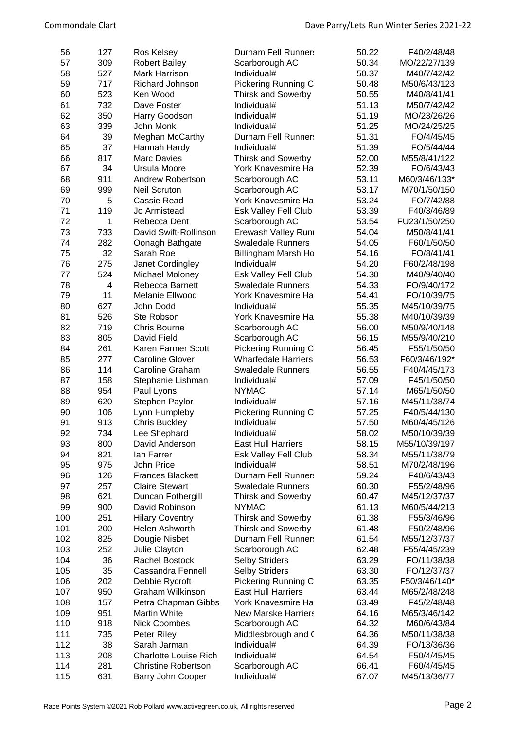| 56  | 127 | Ros Kelsey                   | Durham Fell Runner:        | 50.22 | F40/2/48/48   |
|-----|-----|------------------------------|----------------------------|-------|---------------|
| 57  | 309 | <b>Robert Bailey</b>         | Scarborough AC             | 50.34 | MO/22/27/139  |
| 58  | 527 | <b>Mark Harrison</b>         | Individual#                | 50.37 | M40/7/42/42   |
| 59  | 717 | <b>Richard Johnson</b>       | Pickering Running C        | 50.48 | M50/6/43/123  |
| 60  | 523 | Ken Wood                     | <b>Thirsk and Sowerby</b>  | 50.55 | M40/8/41/41   |
| 61  | 732 | Dave Foster                  | Individual#                | 51.13 | M50/7/42/42   |
| 62  | 350 | Harry Goodson                | Individual#                | 51.19 | MO/23/26/26   |
| 63  | 339 | John Monk                    | Individual#                | 51.25 | MO/24/25/25   |
| 64  | 39  | Meghan McCarthy              | Durham Fell Runner:        | 51.31 | FO/4/45/45    |
| 65  | 37  | Hannah Hardy                 | Individual#                | 51.39 | FO/5/44/44    |
| 66  | 817 | <b>Marc Davies</b>           | <b>Thirsk and Sowerby</b>  | 52.00 | M55/8/41/122  |
| 67  | 34  | Ursula Moore                 | York Knavesmire Ha         | 52.39 | FO/6/43/43    |
| 68  | 911 | <b>Andrew Robertson</b>      | Scarborough AC             | 53.11 | M60/3/46/133* |
| 69  | 999 | <b>Neil Scruton</b>          | Scarborough AC             | 53.17 | M70/1/50/150  |
| 70  |     |                              |                            |       |               |
|     | 5   | Cassie Read                  | York Knavesmire Ha         | 53.24 | FO/7/42/88    |
| 71  | 119 | Jo Armistead                 | Esk Valley Fell Club       | 53.39 | F40/3/46/89   |
| 72  | 1   | Rebecca Dent                 | Scarborough AC             | 53.54 | FU23/1/50/250 |
| 73  | 733 | David Swift-Rollinson        | Erewash Valley Runi        | 54.04 | M50/8/41/41   |
| 74  | 282 | Oonagh Bathgate              | <b>Swaledale Runners</b>   | 54.05 | F60/1/50/50   |
| 75  | 32  | Sarah Roe                    | Billingham Marsh Ho        | 54.16 | FO/8/41/41    |
| 76  | 275 | Janet Cordingley             | Individual#                | 54.20 | F60/2/48/198  |
| 77  | 524 | Michael Moloney              | Esk Valley Fell Club       | 54.30 | M40/9/40/40   |
| 78  | 4   | Rebecca Barnett              | <b>Swaledale Runners</b>   | 54.33 | FO/9/40/172   |
| 79  | 11  | Melanie Ellwood              | York Knavesmire Ha         | 54.41 | FO/10/39/75   |
| 80  | 627 | John Dodd                    | Individual#                | 55.35 | M45/10/39/75  |
| 81  | 526 | Ste Robson                   | York Knavesmire Ha         | 55.38 | M40/10/39/39  |
| 82  | 719 | <b>Chris Bourne</b>          | Scarborough AC             | 56.00 | M50/9/40/148  |
| 83  | 805 | David Field                  | Scarborough AC             | 56.15 | M55/9/40/210  |
| 84  | 261 | Karen Farmer Scott           | Pickering Running C        | 56.45 | F55/1/50/50   |
| 85  | 277 | <b>Caroline Glover</b>       | <b>Wharfedale Harriers</b> | 56.53 | F60/3/46/192* |
| 86  | 114 | <b>Caroline Graham</b>       | <b>Swaledale Runners</b>   | 56.55 | F40/4/45/173  |
| 87  | 158 | Stephanie Lishman            | Individual#                | 57.09 | F45/1/50/50   |
| 88  | 954 | Paul Lyons                   | <b>NYMAC</b>               | 57.14 | M65/1/50/50   |
| 89  | 620 | Stephen Paylor               | Individual#                | 57.16 | M45/11/38/74  |
| 90  | 106 | Lynn Humpleby                | Pickering Running C        | 57.25 | F40/5/44/130  |
| 91  | 913 | <b>Chris Buckley</b>         | Individual#                | 57.50 | M60/4/45/126  |
| 92  | 734 | Lee Shephard                 | Individual#                | 58.02 | M50/10/39/39  |
| 93  | 800 | David Anderson               | <b>East Hull Harriers</b>  | 58.15 | M55/10/39/197 |
| 94  | 821 | lan Farrer                   | Esk Valley Fell Club       | 58.34 | M55/11/38/79  |
| 95  | 975 | John Price                   | Individual#                | 58.51 | M70/2/48/196  |
| 96  | 126 | <b>Frances Blackett</b>      | Durham Fell Runner:        | 59.24 | F40/6/43/43   |
| 97  | 257 | <b>Claire Stewart</b>        | <b>Swaledale Runners</b>   | 60.30 | F55/2/48/96   |
| 98  | 621 | Duncan Fothergill            | <b>Thirsk and Sowerby</b>  | 60.47 | M45/12/37/37  |
| 99  | 900 | David Robinson               | <b>NYMAC</b>               | 61.13 | M60/5/44/213  |
| 100 | 251 |                              | <b>Thirsk and Sowerby</b>  | 61.38 | F55/3/46/96   |
|     |     | <b>Hilary Coventry</b>       |                            |       |               |
| 101 | 200 | Helen Ashworth               | <b>Thirsk and Sowerby</b>  | 61.48 | F50/2/48/96   |
| 102 | 825 | Dougie Nisbet                | Durham Fell Runner:        | 61.54 | M55/12/37/37  |
| 103 | 252 | Julie Clayton                | Scarborough AC             | 62.48 | F55/4/45/239  |
| 104 | 36  | Rachel Bostock               | <b>Selby Striders</b>      | 63.29 | FO/11/38/38   |
| 105 | 35  | <b>Cassandra Fennell</b>     | <b>Selby Striders</b>      | 63.30 | FO/12/37/37   |
| 106 | 202 | Debbie Rycroft               | Pickering Running C        | 63.35 | F50/3/46/140* |
| 107 | 950 | <b>Graham Wilkinson</b>      | <b>East Hull Harriers</b>  | 63.44 | M65/2/48/248  |
| 108 | 157 | Petra Chapman Gibbs          | York Knavesmire Ha         | 63.49 | F45/2/48/48   |
| 109 | 951 | Martin White                 | <b>New Marske Harriers</b> | 64.16 | M65/3/46/142  |
| 110 | 918 | <b>Nick Coombes</b>          | Scarborough AC             | 64.32 | M60/6/43/84   |
| 111 | 735 | Peter Riley                  | Middlesbrough and (        | 64.36 | M50/11/38/38  |
| 112 | 38  | Sarah Jarman                 | Individual#                | 64.39 | FO/13/36/36   |
| 113 | 208 | <b>Charlotte Louise Rich</b> | Individual#                | 64.54 | F50/4/45/45   |
| 114 | 281 | <b>Christine Robertson</b>   | Scarborough AC             | 66.41 | F60/4/45/45   |
| 115 | 631 | Barry John Cooper            | Individual#                | 67.07 | M45/13/36/77  |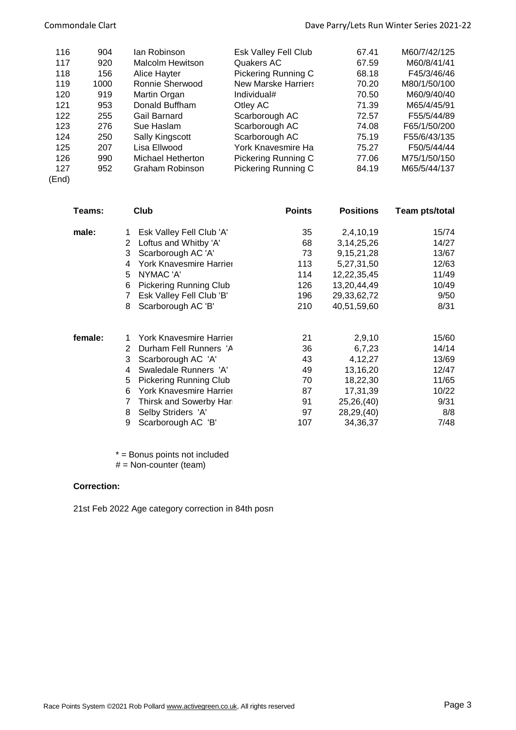| 116   | 904  | lan Robinson      | Esk Valley Fell Club       | 67.41 | M60/7/42/125 |
|-------|------|-------------------|----------------------------|-------|--------------|
| 117   | 920  | Malcolm Hewitson  | Quakers AC                 | 67.59 | M60/8/41/41  |
| 118   | 156  | Alice Hayter      | Pickering Running C        | 68.18 | F45/3/46/46  |
| 119   | 1000 | Ronnie Sherwood   | <b>New Marske Harriers</b> | 70.20 | M80/1/50/100 |
| 120   | 919  | Martin Organ      | Individual#                | 70.50 | M60/9/40/40  |
| 121   | 953  | Donald Buffham    | Otley AC                   | 71.39 | M65/4/45/91  |
| 122   | 255  | Gail Barnard      | Scarborough AC             | 72.57 | F55/5/44/89  |
| 123   | 276  | Sue Haslam        | Scarborough AC             | 74.08 | F65/1/50/200 |
| 124   | 250  | Sally Kingscott   | Scarborough AC             | 75.19 | F55/6/43/135 |
| 125   | 207  | Lisa Ellwood      | York Knavesmire Ha         | 75.27 | F50/5/44/44  |
| 126   | 990  | Michael Hetherton | Pickering Running C        | 77.06 | M75/1/50/150 |
| 127   | 952  | Graham Robinson   | Pickering Running C        | 84.19 | M65/5/44/137 |
| (End) |      |                   |                            |       |              |

| Club<br>Teams: |                                | <b>Points</b> | <b>Positions</b> | Team pts/total |
|----------------|--------------------------------|---------------|------------------|----------------|
|                | Esk Valley Fell Club 'A'       | 35            | 2,4,10,19        | 15/74          |
| 2              | Loftus and Whitby 'A'          | 68            | 3, 14, 25, 26    | 14/27          |
| 3              | Scarborough AC 'A'             | 73            | 9, 15, 21, 28    | 13/67          |
| 4              | <b>York Knavesmire Harrier</b> | 113           | 5,27,31,50       | 12/63          |
| 5              | NYMAC 'A'                      | 114           | 12,22,35,45      | 11/49          |
| 6              | <b>Pickering Running Club</b>  | 126           | 13,20,44,49      | 10/49          |
| 7              | Esk Valley Fell Club 'B'       | 196           | 29,33,62,72      | 9/50           |
| 8              | Scarborough AC 'B'             | 210           | 40,51,59,60      | 8/31           |
| 1.             | <b>York Knavesmire Harrier</b> | 21            | 2,9,10           | 15/60          |
| 2              | Durham Fell Runners 'A         | 36            | 6,7,23           | 14/14          |
| 3              | Scarborough AC 'A'             | 43            | 4,12,27          | 13/69          |
| 4              | Swaledale Runners 'A'          | 49            | 13,16,20         | 12/47          |
| 5              | <b>Pickering Running Club</b>  | 70            | 18,22,30         | 11/65          |
| 6              | York Knavesmire Harrier        | 87            | 17,31,39         | 10/22          |
| 7              | Thirsk and Sowerby Har         | 91            | 25,26,(40)       | 9/31           |
| 8              | Selby Striders 'A'             | 97            | 28,29,(40)       | 8/8            |
| 9              | Scarborough AC 'B'             | 107           | 34, 36, 37       | 7/48           |
|                |                                |               |                  |                |

\* = Bonus points not included

# = Non-counter (team)

## **Correction:**

21st Feb 2022 Age category correction in 84th posn